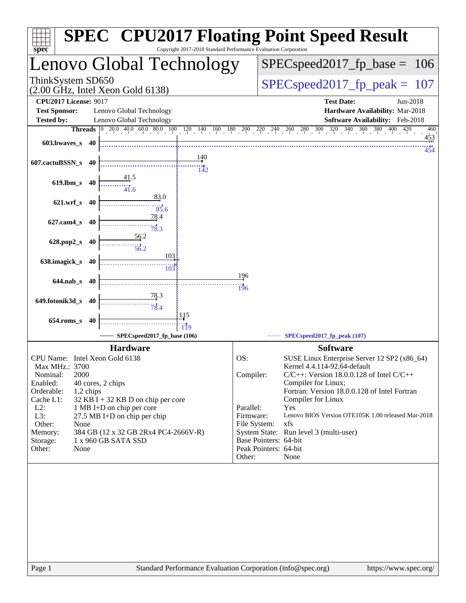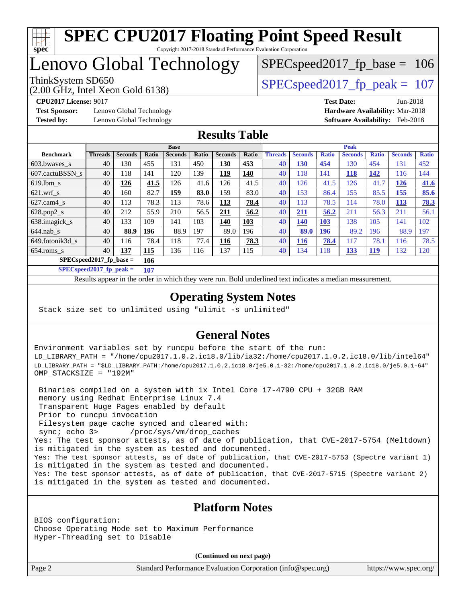

## Lenovo Global Technology

(2.00 GHz, Intel Xeon Gold 6138)

ThinkSystem SD650  $SPEC speed2017$  fp\_peak = 107

SPECspeed2017 fp base =  $106$ 

**[Test Sponsor:](http://www.spec.org/auto/cpu2017/Docs/result-fields.html#TestSponsor)** Lenovo Global Technology **[Hardware Availability:](http://www.spec.org/auto/cpu2017/Docs/result-fields.html#HardwareAvailability)** Mar-2018 **[Tested by:](http://www.spec.org/auto/cpu2017/Docs/result-fields.html#Testedby)** Lenovo Global Technology **[Software Availability:](http://www.spec.org/auto/cpu2017/Docs/result-fields.html#SoftwareAvailability)** Feb-2018

**[CPU2017 License:](http://www.spec.org/auto/cpu2017/Docs/result-fields.html#CPU2017License)** 9017 **[Test Date:](http://www.spec.org/auto/cpu2017/Docs/result-fields.html#TestDate)** Jun-2018

#### **[Results Table](http://www.spec.org/auto/cpu2017/Docs/result-fields.html#ResultsTable)**

|                           | <b>Base</b>    |                |            |                |       |                | <b>Peak</b> |                |                |              |                |              |                |              |
|---------------------------|----------------|----------------|------------|----------------|-------|----------------|-------------|----------------|----------------|--------------|----------------|--------------|----------------|--------------|
| <b>Benchmark</b>          | <b>Threads</b> | <b>Seconds</b> | Ratio      | <b>Seconds</b> | Ratio | <b>Seconds</b> | Ratio       | <b>Threads</b> | <b>Seconds</b> | <b>Ratio</b> | <b>Seconds</b> | <b>Ratio</b> | <b>Seconds</b> | <b>Ratio</b> |
| 603.bwayes s              | 40             | 130            | 455        | 131            | 450   | <u>130</u>     | 453         | 40             | <u>130</u>     | 454          | 130            | 454          | 131            | 452          |
| 607.cactuBSSN s           | 40             | 118            | 141        | 120            | 139   | <u>119</u>     | <b>140</b>  | 40             | 118            | 141          | 118            | 142          | 116            | 144          |
| $619.1$ bm s              | 40             | 126            | 41.5       | 126            | 41.6  | 126            | 41.5        | 40             | 126            | 41.5         | 126            | 41.7         | 126            | <b>41.6</b>  |
| $621$ .wrf s              | 40             | 160            | 82.7       | 159            | 83.0  | 159            | 83.0        | 40             | 153            | 86.4         | 155            | 85.5         | 155            | 85.6         |
| $627$ .cam $4$ s          | 40             | 113            | 78.3       | 113            | 78.6  | <u>113</u>     | 78.4        | 40             | 113            | 78.5         | 114            | 78.0         | <u>113</u>     | 78.3         |
| $628.pop2_s$              | 40             | 212            | 55.9       | 210            | 56.5  | 211            | 56.2        | 40             | 211            | 56.2         | 211            | 56.3         | 211            | 56.1         |
| 638.imagick_s             | 40             | 133            | 109        | 141            | 103   | 140            | <b>103</b>  | 40             | 140            | <b>103</b>   | 138            | 105          | 141            | 102          |
| $644$ .nab s              | 40             | 88.9           | 196        | 88.9           | 197   | 89.0           | 196         | 40             | 89.0           | <b>196</b>   | 89.2           | 196          | 88.9           | 197          |
| 649.fotonik3d s           | 40             | 116            | 78.4       | 118            | 77.4  | 116            | 78.3        | 40             | <b>116</b>     | 78.4         | 117            | 78.1         | 116            | 78.5         |
| $654$ .roms s             | 40             | 137            | <b>115</b> | 136            | 116   | 137            | 115         | 40             | 134            | 118          | <u>133</u>     | <u>119</u>   | 132            | 120          |
| $SPECspeed2017$ fp base = |                |                | 106        |                |       |                |             |                |                |              |                |              |                |              |

**[SPECspeed2017\\_fp\\_peak =](http://www.spec.org/auto/cpu2017/Docs/result-fields.html#SPECspeed2017fppeak) 107**

Results appear in the [order in which they were run.](http://www.spec.org/auto/cpu2017/Docs/result-fields.html#RunOrder) Bold underlined text [indicates a median measurement](http://www.spec.org/auto/cpu2017/Docs/result-fields.html#Median).

### **[Operating System Notes](http://www.spec.org/auto/cpu2017/Docs/result-fields.html#OperatingSystemNotes)**

Stack size set to unlimited using "ulimit -s unlimited"

### **[General Notes](http://www.spec.org/auto/cpu2017/Docs/result-fields.html#GeneralNotes)**

Environment variables set by runcpu before the start of the run: LD\_LIBRARY\_PATH = "/home/cpu2017.1.0.2.ic18.0/lib/ia32:/home/cpu2017.1.0.2.ic18.0/lib/intel64" LD\_LIBRARY\_PATH = "\$LD\_LIBRARY\_PATH:/home/cpu2017.1.0.2.ic18.0/je5.0.1-32:/home/cpu2017.1.0.2.ic18.0/je5.0.1-64" OMP\_STACKSIZE = "192M"

 Binaries compiled on a system with 1x Intel Core i7-4790 CPU + 32GB RAM memory using Redhat Enterprise Linux 7.4 Transparent Huge Pages enabled by default Prior to runcpu invocation Filesystem page cache synced and cleared with: sync; echo 3> /proc/sys/vm/drop\_caches Yes: The test sponsor attests, as of date of publication, that CVE-2017-5754 (Meltdown) is mitigated in the system as tested and documented. Yes: The test sponsor attests, as of date of publication, that CVE-2017-5753 (Spectre variant 1) is mitigated in the system as tested and documented. Yes: The test sponsor attests, as of date of publication, that CVE-2017-5715 (Spectre variant 2) is mitigated in the system as tested and documented.

#### **[Platform Notes](http://www.spec.org/auto/cpu2017/Docs/result-fields.html#PlatformNotes)**

BIOS configuration: Choose Operating Mode set to Maximum Performance Hyper-Threading set to Disable

**(Continued on next page)**

Page 2 Standard Performance Evaluation Corporation [\(info@spec.org\)](mailto:info@spec.org) <https://www.spec.org/>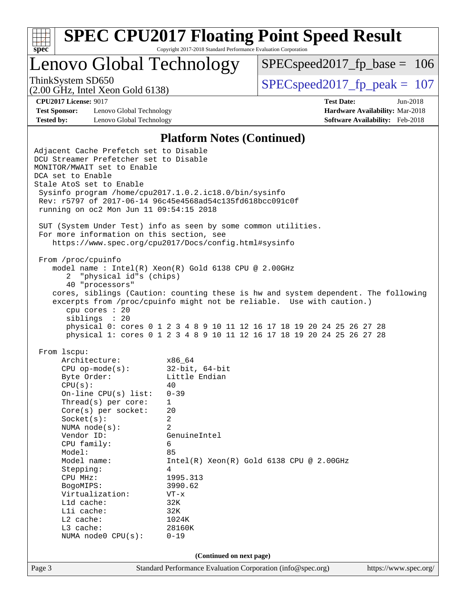

Lenovo Global Technology

[SPECspeed2017\\_fp\\_base =](http://www.spec.org/auto/cpu2017/Docs/result-fields.html#SPECspeed2017fpbase) 106

(2.00 GHz, Intel Xeon Gold 6138)

ThinkSystem SD650  $SPEC speed2017$  fp\_peak = 107

**[Test Sponsor:](http://www.spec.org/auto/cpu2017/Docs/result-fields.html#TestSponsor)** Lenovo Global Technology **[Hardware Availability:](http://www.spec.org/auto/cpu2017/Docs/result-fields.html#HardwareAvailability)** Mar-2018 **[Tested by:](http://www.spec.org/auto/cpu2017/Docs/result-fields.html#Testedby)** Lenovo Global Technology **[Software Availability:](http://www.spec.org/auto/cpu2017/Docs/result-fields.html#SoftwareAvailability)** Feb-2018

**[CPU2017 License:](http://www.spec.org/auto/cpu2017/Docs/result-fields.html#CPU2017License)** 9017 **[Test Date:](http://www.spec.org/auto/cpu2017/Docs/result-fields.html#TestDate)** Jun-2018

#### **[Platform Notes \(Continued\)](http://www.spec.org/auto/cpu2017/Docs/result-fields.html#PlatformNotes)**

Page 3 Standard Performance Evaluation Corporation [\(info@spec.org\)](mailto:info@spec.org) <https://www.spec.org/> Adjacent Cache Prefetch set to Disable DCU Streamer Prefetcher set to Disable MONITOR/MWAIT set to Enable DCA set to Enable Stale AtoS set to Enable Sysinfo program /home/cpu2017.1.0.2.ic18.0/bin/sysinfo Rev: r5797 of 2017-06-14 96c45e4568ad54c135fd618bcc091c0f running on oc2 Mon Jun 11 09:54:15 2018 SUT (System Under Test) info as seen by some common utilities. For more information on this section, see <https://www.spec.org/cpu2017/Docs/config.html#sysinfo> From /proc/cpuinfo model name : Intel(R) Xeon(R) Gold 6138 CPU @ 2.00GHz 2 "physical id"s (chips) 40 "processors" cores, siblings (Caution: counting these is hw and system dependent. The following excerpts from /proc/cpuinfo might not be reliable. Use with caution.) cpu cores : 20 siblings : 20 physical 0: cores 0 1 2 3 4 8 9 10 11 12 16 17 18 19 20 24 25 26 27 28 physical 1: cores 0 1 2 3 4 8 9 10 11 12 16 17 18 19 20 24 25 26 27 28 From lscpu: Architecture: x86\_64 CPU op-mode(s): 32-bit, 64-bit Byte Order: Little Endian  $CPU(s):$  40 On-line CPU(s) list: 0-39 Thread(s) per core: 1 Core(s) per socket: 20 Socket(s): 2 NUMA node(s): 2 Vendor ID: GenuineIntel CPU family: 6 Model: 85<br>Model name: 1n  $Intel(R)$  Xeon(R) Gold 6138 CPU @ 2.00GHz Stepping: 4 CPU MHz: 1995.313 BogoMIPS: 3990.62 Virtualization: VT-x L1d cache: 32K L1i cache: 32K L2 cache: 1024K L3 cache: 28160K NUMA node0 CPU(s): 0-19 **(Continued on next page)**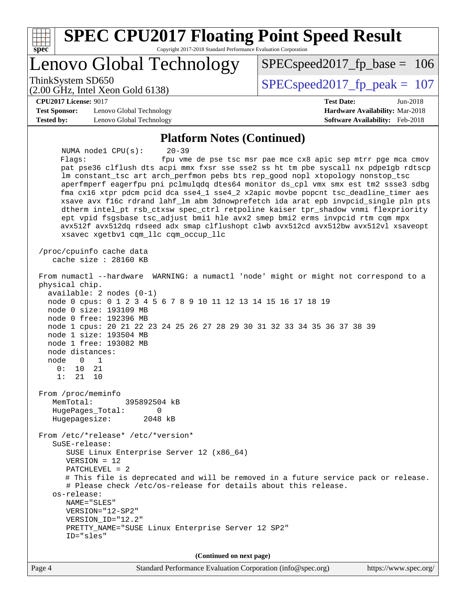| <b>SPEC CPU2017 Floating Point Speed Result</b><br>Copyright 2017-2018 Standard Performance Evaluation Corporation<br>$spec^*$                                                                                                                                                                                                                                                                                                                                                                                                                                                                                                                                                                                                                                                               |                                                                                                     |  |  |  |  |
|----------------------------------------------------------------------------------------------------------------------------------------------------------------------------------------------------------------------------------------------------------------------------------------------------------------------------------------------------------------------------------------------------------------------------------------------------------------------------------------------------------------------------------------------------------------------------------------------------------------------------------------------------------------------------------------------------------------------------------------------------------------------------------------------|-----------------------------------------------------------------------------------------------------|--|--|--|--|
| Lenovo Global Technology                                                                                                                                                                                                                                                                                                                                                                                                                                                                                                                                                                                                                                                                                                                                                                     | $SPEC speed2017_f p\_base = 106$                                                                    |  |  |  |  |
| ThinkSystem SD650<br>$(2.00 \text{ GHz}, \text{Intel Xeon Gold } 6138)$                                                                                                                                                                                                                                                                                                                                                                                                                                                                                                                                                                                                                                                                                                                      | $SPEC speed2017_fp\_peak = 107$                                                                     |  |  |  |  |
| <b>CPU2017 License: 9017</b><br><b>Test Sponsor:</b><br>Lenovo Global Technology<br><b>Tested by:</b><br>Lenovo Global Technology                                                                                                                                                                                                                                                                                                                                                                                                                                                                                                                                                                                                                                                            | <b>Test Date:</b><br>Jun-2018<br>Hardware Availability: Mar-2018<br>Software Availability: Feb-2018 |  |  |  |  |
| <b>Platform Notes (Continued)</b>                                                                                                                                                                                                                                                                                                                                                                                                                                                                                                                                                                                                                                                                                                                                                            |                                                                                                     |  |  |  |  |
| NUMA nodel CPU(s):<br>$20 - 39$<br>Flaqs:<br>pat pse36 clflush dts acpi mmx fxsr sse sse2 ss ht tm pbe syscall nx pdpelgb rdtscp<br>lm constant_tsc art arch_perfmon pebs bts rep_good nopl xtopology nonstop_tsc<br>aperfmperf eagerfpu pni pclmulqdq dtes64 monitor ds_cpl vmx smx est tm2 ssse3 sdbg<br>fma cx16 xtpr pdcm pcid dca sse4_1 sse4_2 x2apic movbe popcnt tsc_deadline_timer aes<br>xsave avx f16c rdrand lahf_lm abm 3dnowprefetch ida arat epb invpcid_single pln pts<br>dtherm intel_pt rsb_ctxsw spec_ctrl retpoline kaiser tpr_shadow vnmi flexpriority<br>ept vpid fsgsbase tsc_adjust bmil hle avx2 smep bmi2 erms invpcid rtm cqm mpx<br>avx512f avx512dq rdseed adx smap clflushopt clwb avx512cd avx512bw avx512vl xsaveopt<br>xsavec xgetbv1 cqm_llc cqm_occup_llc | fpu vme de pse tsc msr pae mce cx8 apic sep mtrr pge mca cmov                                       |  |  |  |  |
| /proc/cpuinfo cache data<br>cache size : 28160 KB                                                                                                                                                                                                                                                                                                                                                                                                                                                                                                                                                                                                                                                                                                                                            |                                                                                                     |  |  |  |  |
| From numactl --hardware WARNING: a numactl 'node' might or might not correspond to a<br>physical chip.<br>$available: 2 nodes (0-1)$<br>node 0 cpus: 0 1 2 3 4 5 6 7 8 9 10 11 12 13 14 15 16 17 18 19<br>node 0 size: 193109 MB<br>node 0 free: 192396 MB<br>node 1 cpus: 20 21 22 23 24 25 26 27 28 29 30 31 32 33 34 35 36 37 38 39<br>node 1 size: 193504 MB<br>node 1 free: 193082 MB<br>node distances:<br>node<br>0<br>1<br>0:<br>10<br>21<br>1:<br>21<br>10                                                                                                                                                                                                                                                                                                                          |                                                                                                     |  |  |  |  |
| From /proc/meminfo<br>MemTotal:<br>395892504 kB<br>HugePages_Total:<br>0<br>Hugepagesize:<br>2048 kB                                                                                                                                                                                                                                                                                                                                                                                                                                                                                                                                                                                                                                                                                         |                                                                                                     |  |  |  |  |
| From /etc/*release* /etc/*version*<br>$S$ uSE-release:<br>SUSE Linux Enterprise Server 12 (x86_64)<br>$VERSION = 12$<br>PATCHLEVEL = 2<br># This file is deprecated and will be removed in a future service pack or release.<br># Please check /etc/os-release for details about this release.<br>os-release:<br>NAME="SLES"<br>VERSION="12-SP2"<br>VERSION_ID="12.2"<br>PRETTY_NAME="SUSE Linux Enterprise Server 12 SP2"<br>ID="sles"                                                                                                                                                                                                                                                                                                                                                      |                                                                                                     |  |  |  |  |
| (Continued on next page)                                                                                                                                                                                                                                                                                                                                                                                                                                                                                                                                                                                                                                                                                                                                                                     |                                                                                                     |  |  |  |  |
| Page 4<br>Standard Performance Evaluation Corporation (info@spec.org)                                                                                                                                                                                                                                                                                                                                                                                                                                                                                                                                                                                                                                                                                                                        | https://www.spec.org/                                                                               |  |  |  |  |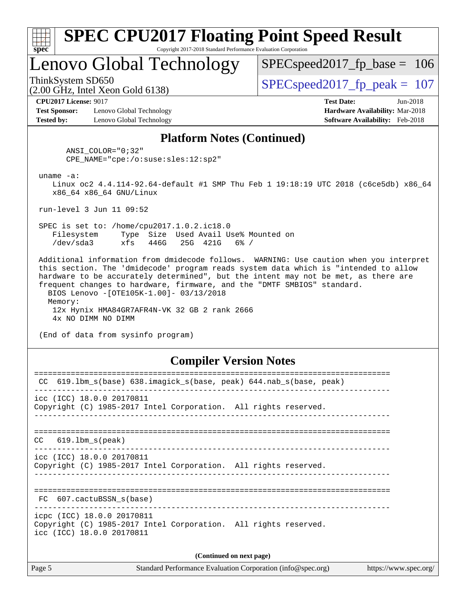| ч<br>œ<br>п.<br>c |  |  |  |  |  |  |
|-------------------|--|--|--|--|--|--|

## Lenovo Global Technology

SPECspeed2017 fp base =  $106$ 

(2.00 GHz, Intel Xeon Gold 6138)

ThinkSystem SD650  $SPEC speed2017$  fp\_peak = 107

**[CPU2017 License:](http://www.spec.org/auto/cpu2017/Docs/result-fields.html#CPU2017License)** 9017 **[Test Date:](http://www.spec.org/auto/cpu2017/Docs/result-fields.html#TestDate)** Jun-2018

**[Test Sponsor:](http://www.spec.org/auto/cpu2017/Docs/result-fields.html#TestSponsor)** Lenovo Global Technology **[Hardware Availability:](http://www.spec.org/auto/cpu2017/Docs/result-fields.html#HardwareAvailability)** Mar-2018 **[Tested by:](http://www.spec.org/auto/cpu2017/Docs/result-fields.html#Testedby)** Lenovo Global Technology **[Software Availability:](http://www.spec.org/auto/cpu2017/Docs/result-fields.html#SoftwareAvailability)** Feb-2018

#### **[Platform Notes \(Continued\)](http://www.spec.org/auto/cpu2017/Docs/result-fields.html#PlatformNotes)**

 ANSI\_COLOR="0;32" CPE\_NAME="cpe:/o:suse:sles:12:sp2"

uname -a:

 Linux oc2 4.4.114-92.64-default #1 SMP Thu Feb 1 19:18:19 UTC 2018 (c6ce5db) x86\_64 x86\_64 x86\_64 GNU/Linux

run-level 3 Jun 11 09:52

 SPEC is set to: /home/cpu2017.1.0.2.ic18.0 Filesystem Type Size Used Avail Use% Mounted on /dev/sda3 xfs 446G 25G 421G 6% /

 Additional information from dmidecode follows. WARNING: Use caution when you interpret this section. The 'dmidecode' program reads system data which is "intended to allow hardware to be accurately determined", but the intent may not be met, as there are frequent changes to hardware, firmware, and the "DMTF SMBIOS" standard. BIOS Lenovo -[OTE105K-1.00]- 03/13/2018 Memory: 12x Hynix HMA84GR7AFR4N-VK 32 GB 2 rank 2666 4x NO DIMM NO DIMM

(End of data from sysinfo program)

### **[Compiler Version Notes](http://www.spec.org/auto/cpu2017/Docs/result-fields.html#CompilerVersionNotes)**

| 619.1bm_s(base) 638.imagick_s(base, peak) 644.nab_s(base, peak)<br>CC                                                      |  |  |  |  |  |  |  |
|----------------------------------------------------------------------------------------------------------------------------|--|--|--|--|--|--|--|
| icc (ICC) 18.0.0 20170811<br>Copyright (C) 1985-2017 Intel Corporation. All rights reserved.                               |  |  |  |  |  |  |  |
| $CC$ 619.1bm $s$ (peak)                                                                                                    |  |  |  |  |  |  |  |
| icc (ICC) 18.0.0 20170811<br>Copyright (C) 1985-2017 Intel Corporation. All rights reserved.                               |  |  |  |  |  |  |  |
| FC 607.cactuBSSN_s(base)                                                                                                   |  |  |  |  |  |  |  |
| icpc (ICC) 18.0.0 20170811<br>Copyright (C) 1985-2017 Intel Corporation. All rights reserved.<br>icc (ICC) 18.0.0 20170811 |  |  |  |  |  |  |  |
| (Continued on next page)                                                                                                   |  |  |  |  |  |  |  |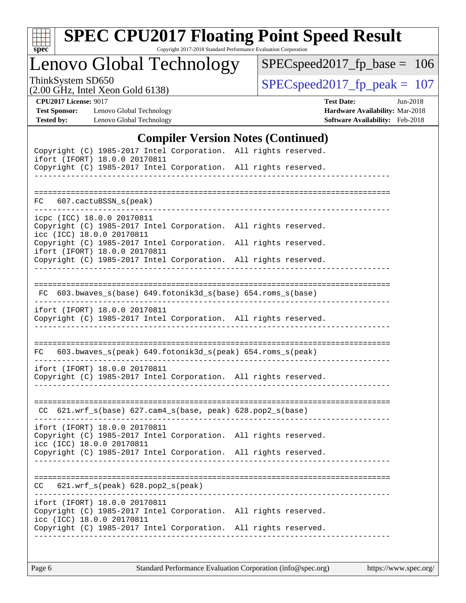

# **[SPEC CPU2017 Floating Point Speed Result](http://www.spec.org/auto/cpu2017/Docs/result-fields.html#SPECCPU2017FloatingPointSpeedResult)**

Copyright 2017-2018 Standard Performance Evaluation Corporation

Lenovo Global Technology

[SPECspeed2017\\_fp\\_base =](http://www.spec.org/auto/cpu2017/Docs/result-fields.html#SPECspeed2017fpbase) 106

(2.00 GHz, Intel Xeon Gold 6138)

ThinkSystem SD650<br>  $(2.00 \text{ GHz})$  Intel Xeon Gold 6138)

**[CPU2017 License:](http://www.spec.org/auto/cpu2017/Docs/result-fields.html#CPU2017License)** 9017 **[Test Date:](http://www.spec.org/auto/cpu2017/Docs/result-fields.html#TestDate)** Jun-2018

**[Tested by:](http://www.spec.org/auto/cpu2017/Docs/result-fields.html#Testedby)** Lenovo Global Technology **[Software Availability:](http://www.spec.org/auto/cpu2017/Docs/result-fields.html#SoftwareAvailability)** Feb-2018

**[Test Sponsor:](http://www.spec.org/auto/cpu2017/Docs/result-fields.html#TestSponsor)** Lenovo Global Technology **[Hardware Availability:](http://www.spec.org/auto/cpu2017/Docs/result-fields.html#HardwareAvailability)** Mar-2018

### **[Compiler Version Notes \(Continued\)](http://www.spec.org/auto/cpu2017/Docs/result-fields.html#CompilerVersionNotes)**

|                                                         | Copyright (C) 1985-2017 Intel Corporation. All rights reserved.<br>ifort (IFORT) 18.0.0 20170811 |  |  |
|---------------------------------------------------------|--------------------------------------------------------------------------------------------------|--|--|
|                                                         | Copyright (C) 1985-2017 Intel Corporation. All rights reserved.                                  |  |  |
|                                                         |                                                                                                  |  |  |
|                                                         |                                                                                                  |  |  |
| FC 607.cactuBSSN_s(peak)                                |                                                                                                  |  |  |
| icpc (ICC) 18.0.0 20170811<br>icc (ICC) 18.0.0 20170811 | Copyright (C) 1985-2017 Intel Corporation. All rights reserved.                                  |  |  |
|                                                         | Copyright (C) 1985-2017 Intel Corporation. All rights reserved.<br>ifort (IFORT) 18.0.0 20170811 |  |  |
|                                                         | Copyright (C) 1985-2017 Intel Corporation. All rights reserved.                                  |  |  |
|                                                         |                                                                                                  |  |  |
|                                                         |                                                                                                  |  |  |
|                                                         | FC 603.bwaves_s(base) 649.fotonik3d_s(base) 654.roms_s(base)                                     |  |  |
|                                                         | ifort (IFORT) 18.0.0 20170811                                                                    |  |  |
|                                                         | Copyright (C) 1985-2017 Intel Corporation. All rights reserved.                                  |  |  |
|                                                         |                                                                                                  |  |  |
|                                                         |                                                                                                  |  |  |
| FC                                                      | 603.bwaves_s(peak) 649.fotonik3d_s(peak) 654.roms_s(peak)                                        |  |  |
|                                                         | ifort (IFORT) 18.0.0 20170811                                                                    |  |  |
|                                                         | Copyright (C) 1985-2017 Intel Corporation. All rights reserved.                                  |  |  |
|                                                         |                                                                                                  |  |  |
|                                                         |                                                                                                  |  |  |
|                                                         | CC 621.wrf_s(base) 627.cam4_s(base, peak) 628.pop2_s(base)                                       |  |  |
|                                                         | ifort (IFORT) 18.0.0 20170811                                                                    |  |  |
|                                                         | Copyright (C) 1985-2017 Intel Corporation. All rights reserved.                                  |  |  |
| icc (ICC) 18.0.0 20170811                               | Copyright (C) 1985-2017 Intel Corporation. All rights reserved.                                  |  |  |
|                                                         |                                                                                                  |  |  |
|                                                         |                                                                                                  |  |  |
| CC                                                      | 621.wrf_s(peak) 628.pop2_s(peak)                                                                 |  |  |
|                                                         | ifort (IFORT) 18.0.0 20170811                                                                    |  |  |
|                                                         | Copyright (C) 1985-2017 Intel Corporation. All rights reserved.                                  |  |  |
| icc (ICC) 18.0.0 20170811                               | Copyright (C) 1985-2017 Intel Corporation. All rights reserved.                                  |  |  |
|                                                         |                                                                                                  |  |  |
|                                                         |                                                                                                  |  |  |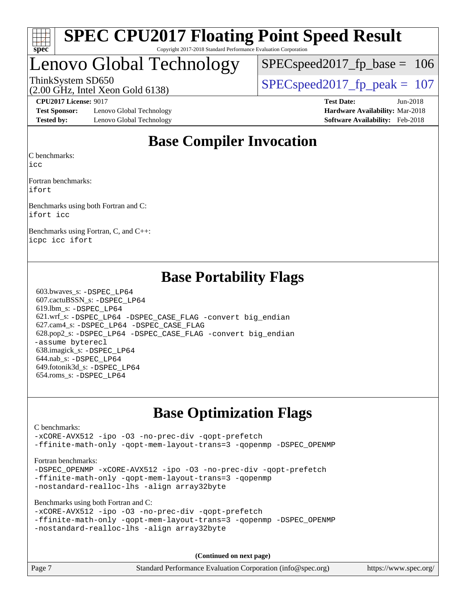

## Lenovo Global Technology

SPECspeed2017 fp base =  $106$ 

ThinkSystem SD650  $SPEC speed2017$  fp\_peak = 107

**[Test Sponsor:](http://www.spec.org/auto/cpu2017/Docs/result-fields.html#TestSponsor)** Lenovo Global Technology **[Hardware Availability:](http://www.spec.org/auto/cpu2017/Docs/result-fields.html#HardwareAvailability)** Mar-2018 **[Tested by:](http://www.spec.org/auto/cpu2017/Docs/result-fields.html#Testedby)** Lenovo Global Technology **[Software Availability:](http://www.spec.org/auto/cpu2017/Docs/result-fields.html#SoftwareAvailability)** Feb-2018

(2.00 GHz, Intel Xeon Gold 6138)

**[CPU2017 License:](http://www.spec.org/auto/cpu2017/Docs/result-fields.html#CPU2017License)** 9017 **[Test Date:](http://www.spec.org/auto/cpu2017/Docs/result-fields.html#TestDate)** Jun-2018

## **[Base Compiler Invocation](http://www.spec.org/auto/cpu2017/Docs/result-fields.html#BaseCompilerInvocation)**

[C benchmarks](http://www.spec.org/auto/cpu2017/Docs/result-fields.html#Cbenchmarks):

[icc](http://www.spec.org/cpu2017/results/res2018q2/cpu2017-20180611-06849.flags.html#user_CCbase_intel_icc_18.0_66fc1ee009f7361af1fbd72ca7dcefbb700085f36577c54f309893dd4ec40d12360134090235512931783d35fd58c0460139e722d5067c5574d8eaf2b3e37e92)

[Fortran benchmarks:](http://www.spec.org/auto/cpu2017/Docs/result-fields.html#Fortranbenchmarks) [ifort](http://www.spec.org/cpu2017/results/res2018q2/cpu2017-20180611-06849.flags.html#user_FCbase_intel_ifort_18.0_8111460550e3ca792625aed983ce982f94888b8b503583aa7ba2b8303487b4d8a21a13e7191a45c5fd58ff318f48f9492884d4413fa793fd88dd292cad7027ca)

[Benchmarks using both Fortran and C](http://www.spec.org/auto/cpu2017/Docs/result-fields.html#BenchmarksusingbothFortranandC): [ifort](http://www.spec.org/cpu2017/results/res2018q2/cpu2017-20180611-06849.flags.html#user_CC_FCbase_intel_ifort_18.0_8111460550e3ca792625aed983ce982f94888b8b503583aa7ba2b8303487b4d8a21a13e7191a45c5fd58ff318f48f9492884d4413fa793fd88dd292cad7027ca) [icc](http://www.spec.org/cpu2017/results/res2018q2/cpu2017-20180611-06849.flags.html#user_CC_FCbase_intel_icc_18.0_66fc1ee009f7361af1fbd72ca7dcefbb700085f36577c54f309893dd4ec40d12360134090235512931783d35fd58c0460139e722d5067c5574d8eaf2b3e37e92)

[Benchmarks using Fortran, C, and C++](http://www.spec.org/auto/cpu2017/Docs/result-fields.html#BenchmarksusingFortranCandCXX): [icpc](http://www.spec.org/cpu2017/results/res2018q2/cpu2017-20180611-06849.flags.html#user_CC_CXX_FCbase_intel_icpc_18.0_c510b6838c7f56d33e37e94d029a35b4a7bccf4766a728ee175e80a419847e808290a9b78be685c44ab727ea267ec2f070ec5dc83b407c0218cded6866a35d07) [icc](http://www.spec.org/cpu2017/results/res2018q2/cpu2017-20180611-06849.flags.html#user_CC_CXX_FCbase_intel_icc_18.0_66fc1ee009f7361af1fbd72ca7dcefbb700085f36577c54f309893dd4ec40d12360134090235512931783d35fd58c0460139e722d5067c5574d8eaf2b3e37e92) [ifort](http://www.spec.org/cpu2017/results/res2018q2/cpu2017-20180611-06849.flags.html#user_CC_CXX_FCbase_intel_ifort_18.0_8111460550e3ca792625aed983ce982f94888b8b503583aa7ba2b8303487b4d8a21a13e7191a45c5fd58ff318f48f9492884d4413fa793fd88dd292cad7027ca)

## **[Base Portability Flags](http://www.spec.org/auto/cpu2017/Docs/result-fields.html#BasePortabilityFlags)**

 603.bwaves\_s: [-DSPEC\\_LP64](http://www.spec.org/cpu2017/results/res2018q2/cpu2017-20180611-06849.flags.html#suite_basePORTABILITY603_bwaves_s_DSPEC_LP64) 607.cactuBSSN\_s: [-DSPEC\\_LP64](http://www.spec.org/cpu2017/results/res2018q2/cpu2017-20180611-06849.flags.html#suite_basePORTABILITY607_cactuBSSN_s_DSPEC_LP64) 619.lbm\_s: [-DSPEC\\_LP64](http://www.spec.org/cpu2017/results/res2018q2/cpu2017-20180611-06849.flags.html#suite_basePORTABILITY619_lbm_s_DSPEC_LP64) 621.wrf\_s: [-DSPEC\\_LP64](http://www.spec.org/cpu2017/results/res2018q2/cpu2017-20180611-06849.flags.html#suite_basePORTABILITY621_wrf_s_DSPEC_LP64) [-DSPEC\\_CASE\\_FLAG](http://www.spec.org/cpu2017/results/res2018q2/cpu2017-20180611-06849.flags.html#b621.wrf_s_baseCPORTABILITY_DSPEC_CASE_FLAG) [-convert big\\_endian](http://www.spec.org/cpu2017/results/res2018q2/cpu2017-20180611-06849.flags.html#user_baseFPORTABILITY621_wrf_s_convert_big_endian_c3194028bc08c63ac5d04de18c48ce6d347e4e562e8892b8bdbdc0214820426deb8554edfa529a3fb25a586e65a3d812c835984020483e7e73212c4d31a38223) 627.cam4\_s: [-DSPEC\\_LP64](http://www.spec.org/cpu2017/results/res2018q2/cpu2017-20180611-06849.flags.html#suite_basePORTABILITY627_cam4_s_DSPEC_LP64) [-DSPEC\\_CASE\\_FLAG](http://www.spec.org/cpu2017/results/res2018q2/cpu2017-20180611-06849.flags.html#b627.cam4_s_baseCPORTABILITY_DSPEC_CASE_FLAG) 628.pop2\_s: [-DSPEC\\_LP64](http://www.spec.org/cpu2017/results/res2018q2/cpu2017-20180611-06849.flags.html#suite_basePORTABILITY628_pop2_s_DSPEC_LP64) [-DSPEC\\_CASE\\_FLAG](http://www.spec.org/cpu2017/results/res2018q2/cpu2017-20180611-06849.flags.html#b628.pop2_s_baseCPORTABILITY_DSPEC_CASE_FLAG) [-convert big\\_endian](http://www.spec.org/cpu2017/results/res2018q2/cpu2017-20180611-06849.flags.html#user_baseFPORTABILITY628_pop2_s_convert_big_endian_c3194028bc08c63ac5d04de18c48ce6d347e4e562e8892b8bdbdc0214820426deb8554edfa529a3fb25a586e65a3d812c835984020483e7e73212c4d31a38223) [-assume byterecl](http://www.spec.org/cpu2017/results/res2018q2/cpu2017-20180611-06849.flags.html#user_baseFPORTABILITY628_pop2_s_assume_byterecl_7e47d18b9513cf18525430bbf0f2177aa9bf368bc7a059c09b2c06a34b53bd3447c950d3f8d6c70e3faf3a05c8557d66a5798b567902e8849adc142926523472) 638.imagick\_s: [-DSPEC\\_LP64](http://www.spec.org/cpu2017/results/res2018q2/cpu2017-20180611-06849.flags.html#suite_basePORTABILITY638_imagick_s_DSPEC_LP64) 644.nab\_s: [-DSPEC\\_LP64](http://www.spec.org/cpu2017/results/res2018q2/cpu2017-20180611-06849.flags.html#suite_basePORTABILITY644_nab_s_DSPEC_LP64) 649.fotonik3d\_s: [-DSPEC\\_LP64](http://www.spec.org/cpu2017/results/res2018q2/cpu2017-20180611-06849.flags.html#suite_basePORTABILITY649_fotonik3d_s_DSPEC_LP64) 654.roms\_s: [-DSPEC\\_LP64](http://www.spec.org/cpu2017/results/res2018q2/cpu2017-20180611-06849.flags.html#suite_basePORTABILITY654_roms_s_DSPEC_LP64)

## **[Base Optimization Flags](http://www.spec.org/auto/cpu2017/Docs/result-fields.html#BaseOptimizationFlags)**

[C benchmarks](http://www.spec.org/auto/cpu2017/Docs/result-fields.html#Cbenchmarks):

[-xCORE-AVX512](http://www.spec.org/cpu2017/results/res2018q2/cpu2017-20180611-06849.flags.html#user_CCbase_f-xCORE-AVX512) [-ipo](http://www.spec.org/cpu2017/results/res2018q2/cpu2017-20180611-06849.flags.html#user_CCbase_f-ipo) [-O3](http://www.spec.org/cpu2017/results/res2018q2/cpu2017-20180611-06849.flags.html#user_CCbase_f-O3) [-no-prec-div](http://www.spec.org/cpu2017/results/res2018q2/cpu2017-20180611-06849.flags.html#user_CCbase_f-no-prec-div) [-qopt-prefetch](http://www.spec.org/cpu2017/results/res2018q2/cpu2017-20180611-06849.flags.html#user_CCbase_f-qopt-prefetch) [-ffinite-math-only](http://www.spec.org/cpu2017/results/res2018q2/cpu2017-20180611-06849.flags.html#user_CCbase_f_finite_math_only_cb91587bd2077682c4b38af759c288ed7c732db004271a9512da14a4f8007909a5f1427ecbf1a0fb78ff2a814402c6114ac565ca162485bbcae155b5e4258871) [-qopt-mem-layout-trans=3](http://www.spec.org/cpu2017/results/res2018q2/cpu2017-20180611-06849.flags.html#user_CCbase_f-qopt-mem-layout-trans_de80db37974c74b1f0e20d883f0b675c88c3b01e9d123adea9b28688d64333345fb62bc4a798493513fdb68f60282f9a726aa07f478b2f7113531aecce732043) [-qopenmp](http://www.spec.org/cpu2017/results/res2018q2/cpu2017-20180611-06849.flags.html#user_CCbase_qopenmp_16be0c44f24f464004c6784a7acb94aca937f053568ce72f94b139a11c7c168634a55f6653758ddd83bcf7b8463e8028bb0b48b77bcddc6b78d5d95bb1df2967) [-DSPEC\\_OPENMP](http://www.spec.org/cpu2017/results/res2018q2/cpu2017-20180611-06849.flags.html#suite_CCbase_DSPEC_OPENMP)

[Fortran benchmarks](http://www.spec.org/auto/cpu2017/Docs/result-fields.html#Fortranbenchmarks):

-DSPEC OPENMP [-xCORE-AVX512](http://www.spec.org/cpu2017/results/res2018q2/cpu2017-20180611-06849.flags.html#user_FCbase_f-xCORE-AVX512) [-ipo](http://www.spec.org/cpu2017/results/res2018q2/cpu2017-20180611-06849.flags.html#user_FCbase_f-ipo) [-O3](http://www.spec.org/cpu2017/results/res2018q2/cpu2017-20180611-06849.flags.html#user_FCbase_f-O3) [-no-prec-div](http://www.spec.org/cpu2017/results/res2018q2/cpu2017-20180611-06849.flags.html#user_FCbase_f-no-prec-div) [-qopt-prefetch](http://www.spec.org/cpu2017/results/res2018q2/cpu2017-20180611-06849.flags.html#user_FCbase_f-qopt-prefetch) [-ffinite-math-only](http://www.spec.org/cpu2017/results/res2018q2/cpu2017-20180611-06849.flags.html#user_FCbase_f_finite_math_only_cb91587bd2077682c4b38af759c288ed7c732db004271a9512da14a4f8007909a5f1427ecbf1a0fb78ff2a814402c6114ac565ca162485bbcae155b5e4258871) [-qopt-mem-layout-trans=3](http://www.spec.org/cpu2017/results/res2018q2/cpu2017-20180611-06849.flags.html#user_FCbase_f-qopt-mem-layout-trans_de80db37974c74b1f0e20d883f0b675c88c3b01e9d123adea9b28688d64333345fb62bc4a798493513fdb68f60282f9a726aa07f478b2f7113531aecce732043) [-qopenmp](http://www.spec.org/cpu2017/results/res2018q2/cpu2017-20180611-06849.flags.html#user_FCbase_qopenmp_16be0c44f24f464004c6784a7acb94aca937f053568ce72f94b139a11c7c168634a55f6653758ddd83bcf7b8463e8028bb0b48b77bcddc6b78d5d95bb1df2967) [-nostandard-realloc-lhs](http://www.spec.org/cpu2017/results/res2018q2/cpu2017-20180611-06849.flags.html#user_FCbase_f_2003_std_realloc_82b4557e90729c0f113870c07e44d33d6f5a304b4f63d4c15d2d0f1fab99f5daaed73bdb9275d9ae411527f28b936061aa8b9c8f2d63842963b95c9dd6426b8a) [-align array32byte](http://www.spec.org/cpu2017/results/res2018q2/cpu2017-20180611-06849.flags.html#user_FCbase_align_array32byte_b982fe038af199962ba9a80c053b8342c548c85b40b8e86eb3cc33dee0d7986a4af373ac2d51c3f7cf710a18d62fdce2948f201cd044323541f22fc0fffc51b6)

[Benchmarks using both Fortran and C](http://www.spec.org/auto/cpu2017/Docs/result-fields.html#BenchmarksusingbothFortranandC):

```
-xCORE-AVX512 -ipo -O3 -no-prec-div -qopt-prefetch
-ffinite-math-only -qopt-mem-layout-trans=3 -qopenmp -DSPEC_OPENMP
-nostandard-realloc-lhs -align array32byte
```
**(Continued on next page)**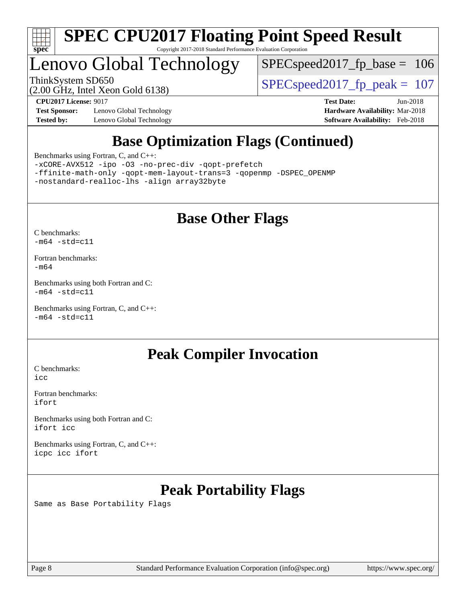

## Lenovo Global Technology

[SPECspeed2017\\_fp\\_base =](http://www.spec.org/auto/cpu2017/Docs/result-fields.html#SPECspeed2017fpbase) 106

(2.00 GHz, Intel Xeon Gold 6138)

ThinkSystem SD650  $SPEC speed2017$  fp\_peak = 107

**[Test Sponsor:](http://www.spec.org/auto/cpu2017/Docs/result-fields.html#TestSponsor)** Lenovo Global Technology **[Hardware Availability:](http://www.spec.org/auto/cpu2017/Docs/result-fields.html#HardwareAvailability)** Mar-2018 **[Tested by:](http://www.spec.org/auto/cpu2017/Docs/result-fields.html#Testedby)** Lenovo Global Technology **[Software Availability:](http://www.spec.org/auto/cpu2017/Docs/result-fields.html#SoftwareAvailability)** Feb-2018

**[CPU2017 License:](http://www.spec.org/auto/cpu2017/Docs/result-fields.html#CPU2017License)** 9017 **[Test Date:](http://www.spec.org/auto/cpu2017/Docs/result-fields.html#TestDate)** Jun-2018

## **[Base Optimization Flags \(Continued\)](http://www.spec.org/auto/cpu2017/Docs/result-fields.html#BaseOptimizationFlags)**

[Benchmarks using Fortran, C, and C++:](http://www.spec.org/auto/cpu2017/Docs/result-fields.html#BenchmarksusingFortranCandCXX)

[-xCORE-AVX512](http://www.spec.org/cpu2017/results/res2018q2/cpu2017-20180611-06849.flags.html#user_CC_CXX_FCbase_f-xCORE-AVX512) [-ipo](http://www.spec.org/cpu2017/results/res2018q2/cpu2017-20180611-06849.flags.html#user_CC_CXX_FCbase_f-ipo) [-O3](http://www.spec.org/cpu2017/results/res2018q2/cpu2017-20180611-06849.flags.html#user_CC_CXX_FCbase_f-O3) [-no-prec-div](http://www.spec.org/cpu2017/results/res2018q2/cpu2017-20180611-06849.flags.html#user_CC_CXX_FCbase_f-no-prec-div) [-qopt-prefetch](http://www.spec.org/cpu2017/results/res2018q2/cpu2017-20180611-06849.flags.html#user_CC_CXX_FCbase_f-qopt-prefetch) [-ffinite-math-only](http://www.spec.org/cpu2017/results/res2018q2/cpu2017-20180611-06849.flags.html#user_CC_CXX_FCbase_f_finite_math_only_cb91587bd2077682c4b38af759c288ed7c732db004271a9512da14a4f8007909a5f1427ecbf1a0fb78ff2a814402c6114ac565ca162485bbcae155b5e4258871) [-qopt-mem-layout-trans=3](http://www.spec.org/cpu2017/results/res2018q2/cpu2017-20180611-06849.flags.html#user_CC_CXX_FCbase_f-qopt-mem-layout-trans_de80db37974c74b1f0e20d883f0b675c88c3b01e9d123adea9b28688d64333345fb62bc4a798493513fdb68f60282f9a726aa07f478b2f7113531aecce732043) [-qopenmp](http://www.spec.org/cpu2017/results/res2018q2/cpu2017-20180611-06849.flags.html#user_CC_CXX_FCbase_qopenmp_16be0c44f24f464004c6784a7acb94aca937f053568ce72f94b139a11c7c168634a55f6653758ddd83bcf7b8463e8028bb0b48b77bcddc6b78d5d95bb1df2967) [-DSPEC\\_OPENMP](http://www.spec.org/cpu2017/results/res2018q2/cpu2017-20180611-06849.flags.html#suite_CC_CXX_FCbase_DSPEC_OPENMP) [-nostandard-realloc-lhs](http://www.spec.org/cpu2017/results/res2018q2/cpu2017-20180611-06849.flags.html#user_CC_CXX_FCbase_f_2003_std_realloc_82b4557e90729c0f113870c07e44d33d6f5a304b4f63d4c15d2d0f1fab99f5daaed73bdb9275d9ae411527f28b936061aa8b9c8f2d63842963b95c9dd6426b8a) [-align array32byte](http://www.spec.org/cpu2017/results/res2018q2/cpu2017-20180611-06849.flags.html#user_CC_CXX_FCbase_align_array32byte_b982fe038af199962ba9a80c053b8342c548c85b40b8e86eb3cc33dee0d7986a4af373ac2d51c3f7cf710a18d62fdce2948f201cd044323541f22fc0fffc51b6)

## **[Base Other Flags](http://www.spec.org/auto/cpu2017/Docs/result-fields.html#BaseOtherFlags)**

[C benchmarks](http://www.spec.org/auto/cpu2017/Docs/result-fields.html#Cbenchmarks):  $-m64 - std= c11$  $-m64 - std= c11$ 

[Fortran benchmarks](http://www.spec.org/auto/cpu2017/Docs/result-fields.html#Fortranbenchmarks): [-m64](http://www.spec.org/cpu2017/results/res2018q2/cpu2017-20180611-06849.flags.html#user_FCbase_intel_intel64_18.0_af43caccfc8ded86e7699f2159af6efc7655f51387b94da716254467f3c01020a5059329e2569e4053f409e7c9202a7efc638f7a6d1ffb3f52dea4a3e31d82ab)

[Benchmarks using both Fortran and C](http://www.spec.org/auto/cpu2017/Docs/result-fields.html#BenchmarksusingbothFortranandC):  $-m64$   $-std=cl1$ 

[Benchmarks using Fortran, C, and C++:](http://www.spec.org/auto/cpu2017/Docs/result-fields.html#BenchmarksusingFortranCandCXX)  $-m64$   $-std=cl1$ 

## **[Peak Compiler Invocation](http://www.spec.org/auto/cpu2017/Docs/result-fields.html#PeakCompilerInvocation)**

[C benchmarks](http://www.spec.org/auto/cpu2017/Docs/result-fields.html#Cbenchmarks): [icc](http://www.spec.org/cpu2017/results/res2018q2/cpu2017-20180611-06849.flags.html#user_CCpeak_intel_icc_18.0_66fc1ee009f7361af1fbd72ca7dcefbb700085f36577c54f309893dd4ec40d12360134090235512931783d35fd58c0460139e722d5067c5574d8eaf2b3e37e92)

[Fortran benchmarks](http://www.spec.org/auto/cpu2017/Docs/result-fields.html#Fortranbenchmarks): [ifort](http://www.spec.org/cpu2017/results/res2018q2/cpu2017-20180611-06849.flags.html#user_FCpeak_intel_ifort_18.0_8111460550e3ca792625aed983ce982f94888b8b503583aa7ba2b8303487b4d8a21a13e7191a45c5fd58ff318f48f9492884d4413fa793fd88dd292cad7027ca)

[Benchmarks using both Fortran and C](http://www.spec.org/auto/cpu2017/Docs/result-fields.html#BenchmarksusingbothFortranandC): [ifort](http://www.spec.org/cpu2017/results/res2018q2/cpu2017-20180611-06849.flags.html#user_CC_FCpeak_intel_ifort_18.0_8111460550e3ca792625aed983ce982f94888b8b503583aa7ba2b8303487b4d8a21a13e7191a45c5fd58ff318f48f9492884d4413fa793fd88dd292cad7027ca) [icc](http://www.spec.org/cpu2017/results/res2018q2/cpu2017-20180611-06849.flags.html#user_CC_FCpeak_intel_icc_18.0_66fc1ee009f7361af1fbd72ca7dcefbb700085f36577c54f309893dd4ec40d12360134090235512931783d35fd58c0460139e722d5067c5574d8eaf2b3e37e92)

[Benchmarks using Fortran, C, and C++:](http://www.spec.org/auto/cpu2017/Docs/result-fields.html#BenchmarksusingFortranCandCXX) [icpc](http://www.spec.org/cpu2017/results/res2018q2/cpu2017-20180611-06849.flags.html#user_CC_CXX_FCpeak_intel_icpc_18.0_c510b6838c7f56d33e37e94d029a35b4a7bccf4766a728ee175e80a419847e808290a9b78be685c44ab727ea267ec2f070ec5dc83b407c0218cded6866a35d07) [icc](http://www.spec.org/cpu2017/results/res2018q2/cpu2017-20180611-06849.flags.html#user_CC_CXX_FCpeak_intel_icc_18.0_66fc1ee009f7361af1fbd72ca7dcefbb700085f36577c54f309893dd4ec40d12360134090235512931783d35fd58c0460139e722d5067c5574d8eaf2b3e37e92) [ifort](http://www.spec.org/cpu2017/results/res2018q2/cpu2017-20180611-06849.flags.html#user_CC_CXX_FCpeak_intel_ifort_18.0_8111460550e3ca792625aed983ce982f94888b8b503583aa7ba2b8303487b4d8a21a13e7191a45c5fd58ff318f48f9492884d4413fa793fd88dd292cad7027ca)

## **[Peak Portability Flags](http://www.spec.org/auto/cpu2017/Docs/result-fields.html#PeakPortabilityFlags)**

Same as Base Portability Flags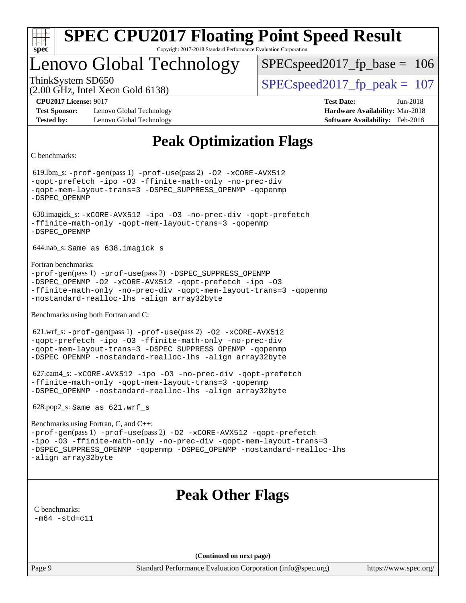

## Lenovo Global Technology

SPECspeed2017 fp base  $= 106$ 

(2.00 GHz, Intel Xeon Gold 6138)

ThinkSystem SD650  $SPEC speed2017$  fp\_peak = 107

**[Test Sponsor:](http://www.spec.org/auto/cpu2017/Docs/result-fields.html#TestSponsor)** Lenovo Global Technology **[Hardware Availability:](http://www.spec.org/auto/cpu2017/Docs/result-fields.html#HardwareAvailability)** Mar-2018 **[Tested by:](http://www.spec.org/auto/cpu2017/Docs/result-fields.html#Testedby)** Lenovo Global Technology **[Software Availability:](http://www.spec.org/auto/cpu2017/Docs/result-fields.html#SoftwareAvailability)** Feb-2018

**[CPU2017 License:](http://www.spec.org/auto/cpu2017/Docs/result-fields.html#CPU2017License)** 9017 **[Test Date:](http://www.spec.org/auto/cpu2017/Docs/result-fields.html#TestDate)** Jun-2018

## **[Peak Optimization Flags](http://www.spec.org/auto/cpu2017/Docs/result-fields.html#PeakOptimizationFlags)**

[C benchmarks](http://www.spec.org/auto/cpu2017/Docs/result-fields.html#Cbenchmarks):

 619.lbm\_s: [-prof-gen](http://www.spec.org/cpu2017/results/res2018q2/cpu2017-20180611-06849.flags.html#user_peakPASS1_CFLAGSPASS1_LDFLAGS619_lbm_s_prof_gen_5aa4926d6013ddb2a31985c654b3eb18169fc0c6952a63635c234f711e6e63dd76e94ad52365559451ec499a2cdb89e4dc58ba4c67ef54ca681ffbe1461d6b36)(pass 1) [-prof-use](http://www.spec.org/cpu2017/results/res2018q2/cpu2017-20180611-06849.flags.html#user_peakPASS2_CFLAGSPASS2_LDFLAGS619_lbm_s_prof_use_1a21ceae95f36a2b53c25747139a6c16ca95bd9def2a207b4f0849963b97e94f5260e30a0c64f4bb623698870e679ca08317ef8150905d41bd88c6f78df73f19)(pass 2) [-O2](http://www.spec.org/cpu2017/results/res2018q2/cpu2017-20180611-06849.flags.html#user_peakPASS1_COPTIMIZE619_lbm_s_f-O2) [-xCORE-AVX512](http://www.spec.org/cpu2017/results/res2018q2/cpu2017-20180611-06849.flags.html#user_peakPASS2_COPTIMIZE619_lbm_s_f-xCORE-AVX512) [-qopt-prefetch](http://www.spec.org/cpu2017/results/res2018q2/cpu2017-20180611-06849.flags.html#user_peakPASS1_COPTIMIZEPASS2_COPTIMIZE619_lbm_s_f-qopt-prefetch) [-ipo](http://www.spec.org/cpu2017/results/res2018q2/cpu2017-20180611-06849.flags.html#user_peakPASS2_COPTIMIZE619_lbm_s_f-ipo) [-O3](http://www.spec.org/cpu2017/results/res2018q2/cpu2017-20180611-06849.flags.html#user_peakPASS2_COPTIMIZE619_lbm_s_f-O3) [-ffinite-math-only](http://www.spec.org/cpu2017/results/res2018q2/cpu2017-20180611-06849.flags.html#user_peakPASS1_COPTIMIZEPASS2_COPTIMIZE619_lbm_s_f_finite_math_only_cb91587bd2077682c4b38af759c288ed7c732db004271a9512da14a4f8007909a5f1427ecbf1a0fb78ff2a814402c6114ac565ca162485bbcae155b5e4258871) [-no-prec-div](http://www.spec.org/cpu2017/results/res2018q2/cpu2017-20180611-06849.flags.html#user_peakPASS2_COPTIMIZE619_lbm_s_f-no-prec-div) [-qopt-mem-layout-trans=3](http://www.spec.org/cpu2017/results/res2018q2/cpu2017-20180611-06849.flags.html#user_peakPASS1_COPTIMIZEPASS2_COPTIMIZE619_lbm_s_f-qopt-mem-layout-trans_de80db37974c74b1f0e20d883f0b675c88c3b01e9d123adea9b28688d64333345fb62bc4a798493513fdb68f60282f9a726aa07f478b2f7113531aecce732043) [-DSPEC\\_SUPPRESS\\_OPENMP](http://www.spec.org/cpu2017/results/res2018q2/cpu2017-20180611-06849.flags.html#suite_peakPASS1_COPTIMIZE619_lbm_s_DSPEC_SUPPRESS_OPENMP) [-qopenmp](http://www.spec.org/cpu2017/results/res2018q2/cpu2017-20180611-06849.flags.html#user_peakPASS2_COPTIMIZE619_lbm_s_qopenmp_16be0c44f24f464004c6784a7acb94aca937f053568ce72f94b139a11c7c168634a55f6653758ddd83bcf7b8463e8028bb0b48b77bcddc6b78d5d95bb1df2967) [-DSPEC\\_OPENMP](http://www.spec.org/cpu2017/results/res2018q2/cpu2017-20180611-06849.flags.html#suite_peakPASS2_COPTIMIZE619_lbm_s_DSPEC_OPENMP) 638.imagick\_s: [-xCORE-AVX512](http://www.spec.org/cpu2017/results/res2018q2/cpu2017-20180611-06849.flags.html#user_peakCOPTIMIZE638_imagick_s_f-xCORE-AVX512) [-ipo](http://www.spec.org/cpu2017/results/res2018q2/cpu2017-20180611-06849.flags.html#user_peakCOPTIMIZE638_imagick_s_f-ipo) [-O3](http://www.spec.org/cpu2017/results/res2018q2/cpu2017-20180611-06849.flags.html#user_peakCOPTIMIZE638_imagick_s_f-O3) [-no-prec-div](http://www.spec.org/cpu2017/results/res2018q2/cpu2017-20180611-06849.flags.html#user_peakCOPTIMIZE638_imagick_s_f-no-prec-div) [-qopt-prefetch](http://www.spec.org/cpu2017/results/res2018q2/cpu2017-20180611-06849.flags.html#user_peakCOPTIMIZE638_imagick_s_f-qopt-prefetch) [-ffinite-math-only](http://www.spec.org/cpu2017/results/res2018q2/cpu2017-20180611-06849.flags.html#user_peakCOPTIMIZE638_imagick_s_f_finite_math_only_cb91587bd2077682c4b38af759c288ed7c732db004271a9512da14a4f8007909a5f1427ecbf1a0fb78ff2a814402c6114ac565ca162485bbcae155b5e4258871) [-qopt-mem-layout-trans=3](http://www.spec.org/cpu2017/results/res2018q2/cpu2017-20180611-06849.flags.html#user_peakCOPTIMIZE638_imagick_s_f-qopt-mem-layout-trans_de80db37974c74b1f0e20d883f0b675c88c3b01e9d123adea9b28688d64333345fb62bc4a798493513fdb68f60282f9a726aa07f478b2f7113531aecce732043) [-qopenmp](http://www.spec.org/cpu2017/results/res2018q2/cpu2017-20180611-06849.flags.html#user_peakCOPTIMIZE638_imagick_s_qopenmp_16be0c44f24f464004c6784a7acb94aca937f053568ce72f94b139a11c7c168634a55f6653758ddd83bcf7b8463e8028bb0b48b77bcddc6b78d5d95bb1df2967) [-DSPEC\\_OPENMP](http://www.spec.org/cpu2017/results/res2018q2/cpu2017-20180611-06849.flags.html#suite_peakCOPTIMIZE638_imagick_s_DSPEC_OPENMP) 644.nab\_s: Same as 638.imagick\_s [Fortran benchmarks:](http://www.spec.org/auto/cpu2017/Docs/result-fields.html#Fortranbenchmarks) [-prof-gen](http://www.spec.org/cpu2017/results/res2018q2/cpu2017-20180611-06849.flags.html#user_FCpeak_prof_gen_5aa4926d6013ddb2a31985c654b3eb18169fc0c6952a63635c234f711e6e63dd76e94ad52365559451ec499a2cdb89e4dc58ba4c67ef54ca681ffbe1461d6b36)(pass 1) [-prof-use](http://www.spec.org/cpu2017/results/res2018q2/cpu2017-20180611-06849.flags.html#user_FCpeak_prof_use_1a21ceae95f36a2b53c25747139a6c16ca95bd9def2a207b4f0849963b97e94f5260e30a0c64f4bb623698870e679ca08317ef8150905d41bd88c6f78df73f19)(pass 2) [-DSPEC\\_SUPPRESS\\_OPENMP](http://www.spec.org/cpu2017/results/res2018q2/cpu2017-20180611-06849.flags.html#suite_FCpeak_DSPEC_SUPPRESS_OPENMP) [-DSPEC\\_OPENMP](http://www.spec.org/cpu2017/results/res2018q2/cpu2017-20180611-06849.flags.html#suite_FCpeak_DSPEC_OPENMP) [-O2](http://www.spec.org/cpu2017/results/res2018q2/cpu2017-20180611-06849.flags.html#user_FCpeak_f-O2) [-xCORE-AVX512](http://www.spec.org/cpu2017/results/res2018q2/cpu2017-20180611-06849.flags.html#user_FCpeak_f-xCORE-AVX512) [-qopt-prefetch](http://www.spec.org/cpu2017/results/res2018q2/cpu2017-20180611-06849.flags.html#user_FCpeak_f-qopt-prefetch) [-ipo](http://www.spec.org/cpu2017/results/res2018q2/cpu2017-20180611-06849.flags.html#user_FCpeak_f-ipo) [-O3](http://www.spec.org/cpu2017/results/res2018q2/cpu2017-20180611-06849.flags.html#user_FCpeak_f-O3) [-ffinite-math-only](http://www.spec.org/cpu2017/results/res2018q2/cpu2017-20180611-06849.flags.html#user_FCpeak_f_finite_math_only_cb91587bd2077682c4b38af759c288ed7c732db004271a9512da14a4f8007909a5f1427ecbf1a0fb78ff2a814402c6114ac565ca162485bbcae155b5e4258871) [-no-prec-div](http://www.spec.org/cpu2017/results/res2018q2/cpu2017-20180611-06849.flags.html#user_FCpeak_f-no-prec-div) [-qopt-mem-layout-trans=3](http://www.spec.org/cpu2017/results/res2018q2/cpu2017-20180611-06849.flags.html#user_FCpeak_f-qopt-mem-layout-trans_de80db37974c74b1f0e20d883f0b675c88c3b01e9d123adea9b28688d64333345fb62bc4a798493513fdb68f60282f9a726aa07f478b2f7113531aecce732043) [-qopenmp](http://www.spec.org/cpu2017/results/res2018q2/cpu2017-20180611-06849.flags.html#user_FCpeak_qopenmp_16be0c44f24f464004c6784a7acb94aca937f053568ce72f94b139a11c7c168634a55f6653758ddd83bcf7b8463e8028bb0b48b77bcddc6b78d5d95bb1df2967) [-nostandard-realloc-lhs](http://www.spec.org/cpu2017/results/res2018q2/cpu2017-20180611-06849.flags.html#user_FCpeak_f_2003_std_realloc_82b4557e90729c0f113870c07e44d33d6f5a304b4f63d4c15d2d0f1fab99f5daaed73bdb9275d9ae411527f28b936061aa8b9c8f2d63842963b95c9dd6426b8a) [-align array32byte](http://www.spec.org/cpu2017/results/res2018q2/cpu2017-20180611-06849.flags.html#user_FCpeak_align_array32byte_b982fe038af199962ba9a80c053b8342c548c85b40b8e86eb3cc33dee0d7986a4af373ac2d51c3f7cf710a18d62fdce2948f201cd044323541f22fc0fffc51b6) [Benchmarks using both Fortran and C](http://www.spec.org/auto/cpu2017/Docs/result-fields.html#BenchmarksusingbothFortranandC): 621.wrf\_s: [-prof-gen](http://www.spec.org/cpu2017/results/res2018q2/cpu2017-20180611-06849.flags.html#user_peakPASS1_CFLAGSPASS1_FFLAGSPASS1_LDFLAGS621_wrf_s_prof_gen_5aa4926d6013ddb2a31985c654b3eb18169fc0c6952a63635c234f711e6e63dd76e94ad52365559451ec499a2cdb89e4dc58ba4c67ef54ca681ffbe1461d6b36)(pass 1) [-prof-use](http://www.spec.org/cpu2017/results/res2018q2/cpu2017-20180611-06849.flags.html#user_peakPASS2_CFLAGSPASS2_FFLAGSPASS2_LDFLAGS621_wrf_s_prof_use_1a21ceae95f36a2b53c25747139a6c16ca95bd9def2a207b4f0849963b97e94f5260e30a0c64f4bb623698870e679ca08317ef8150905d41bd88c6f78df73f19)(pass 2) [-O2](http://www.spec.org/cpu2017/results/res2018q2/cpu2017-20180611-06849.flags.html#user_peakPASS1_COPTIMIZEPASS1_FOPTIMIZE621_wrf_s_f-O2) [-xCORE-AVX512](http://www.spec.org/cpu2017/results/res2018q2/cpu2017-20180611-06849.flags.html#user_peakPASS2_COPTIMIZEPASS2_FOPTIMIZE621_wrf_s_f-xCORE-AVX512) [-qopt-prefetch](http://www.spec.org/cpu2017/results/res2018q2/cpu2017-20180611-06849.flags.html#user_peakPASS1_COPTIMIZEPASS1_FOPTIMIZEPASS2_COPTIMIZEPASS2_FOPTIMIZE621_wrf_s_f-qopt-prefetch) [-ipo](http://www.spec.org/cpu2017/results/res2018q2/cpu2017-20180611-06849.flags.html#user_peakPASS2_COPTIMIZEPASS2_FOPTIMIZE621_wrf_s_f-ipo) [-O3](http://www.spec.org/cpu2017/results/res2018q2/cpu2017-20180611-06849.flags.html#user_peakPASS2_COPTIMIZEPASS2_FOPTIMIZE621_wrf_s_f-O3) [-ffinite-math-only](http://www.spec.org/cpu2017/results/res2018q2/cpu2017-20180611-06849.flags.html#user_peakPASS1_COPTIMIZEPASS1_FOPTIMIZEPASS2_COPTIMIZEPASS2_FOPTIMIZE621_wrf_s_f_finite_math_only_cb91587bd2077682c4b38af759c288ed7c732db004271a9512da14a4f8007909a5f1427ecbf1a0fb78ff2a814402c6114ac565ca162485bbcae155b5e4258871) [-no-prec-div](http://www.spec.org/cpu2017/results/res2018q2/cpu2017-20180611-06849.flags.html#user_peakPASS2_COPTIMIZEPASS2_FOPTIMIZE621_wrf_s_f-no-prec-div) [-qopt-mem-layout-trans=3](http://www.spec.org/cpu2017/results/res2018q2/cpu2017-20180611-06849.flags.html#user_peakPASS1_COPTIMIZEPASS1_FOPTIMIZEPASS2_COPTIMIZEPASS2_FOPTIMIZE621_wrf_s_f-qopt-mem-layout-trans_de80db37974c74b1f0e20d883f0b675c88c3b01e9d123adea9b28688d64333345fb62bc4a798493513fdb68f60282f9a726aa07f478b2f7113531aecce732043) [-DSPEC\\_SUPPRESS\\_OPENMP](http://www.spec.org/cpu2017/results/res2018q2/cpu2017-20180611-06849.flags.html#suite_peakPASS1_COPTIMIZEPASS1_FOPTIMIZE621_wrf_s_DSPEC_SUPPRESS_OPENMP) [-qopenmp](http://www.spec.org/cpu2017/results/res2018q2/cpu2017-20180611-06849.flags.html#user_peakPASS2_COPTIMIZEPASS2_FOPTIMIZE621_wrf_s_qopenmp_16be0c44f24f464004c6784a7acb94aca937f053568ce72f94b139a11c7c168634a55f6653758ddd83bcf7b8463e8028bb0b48b77bcddc6b78d5d95bb1df2967) [-DSPEC\\_OPENMP](http://www.spec.org/cpu2017/results/res2018q2/cpu2017-20180611-06849.flags.html#suite_peakPASS2_COPTIMIZEPASS2_FOPTIMIZE621_wrf_s_DSPEC_OPENMP) [-nostandard-realloc-lhs](http://www.spec.org/cpu2017/results/res2018q2/cpu2017-20180611-06849.flags.html#user_peakEXTRA_FOPTIMIZE621_wrf_s_f_2003_std_realloc_82b4557e90729c0f113870c07e44d33d6f5a304b4f63d4c15d2d0f1fab99f5daaed73bdb9275d9ae411527f28b936061aa8b9c8f2d63842963b95c9dd6426b8a) [-align array32byte](http://www.spec.org/cpu2017/results/res2018q2/cpu2017-20180611-06849.flags.html#user_peakEXTRA_FOPTIMIZE621_wrf_s_align_array32byte_b982fe038af199962ba9a80c053b8342c548c85b40b8e86eb3cc33dee0d7986a4af373ac2d51c3f7cf710a18d62fdce2948f201cd044323541f22fc0fffc51b6) 627.cam4\_s: [-xCORE-AVX512](http://www.spec.org/cpu2017/results/res2018q2/cpu2017-20180611-06849.flags.html#user_peakCOPTIMIZEFOPTIMIZE627_cam4_s_f-xCORE-AVX512) [-ipo](http://www.spec.org/cpu2017/results/res2018q2/cpu2017-20180611-06849.flags.html#user_peakCOPTIMIZEFOPTIMIZE627_cam4_s_f-ipo) [-O3](http://www.spec.org/cpu2017/results/res2018q2/cpu2017-20180611-06849.flags.html#user_peakCOPTIMIZEFOPTIMIZE627_cam4_s_f-O3) [-no-prec-div](http://www.spec.org/cpu2017/results/res2018q2/cpu2017-20180611-06849.flags.html#user_peakCOPTIMIZEFOPTIMIZE627_cam4_s_f-no-prec-div) [-qopt-prefetch](http://www.spec.org/cpu2017/results/res2018q2/cpu2017-20180611-06849.flags.html#user_peakCOPTIMIZEFOPTIMIZE627_cam4_s_f-qopt-prefetch) [-ffinite-math-only](http://www.spec.org/cpu2017/results/res2018q2/cpu2017-20180611-06849.flags.html#user_peakCOPTIMIZEFOPTIMIZE627_cam4_s_f_finite_math_only_cb91587bd2077682c4b38af759c288ed7c732db004271a9512da14a4f8007909a5f1427ecbf1a0fb78ff2a814402c6114ac565ca162485bbcae155b5e4258871) [-qopt-mem-layout-trans=3](http://www.spec.org/cpu2017/results/res2018q2/cpu2017-20180611-06849.flags.html#user_peakCOPTIMIZEFOPTIMIZE627_cam4_s_f-qopt-mem-layout-trans_de80db37974c74b1f0e20d883f0b675c88c3b01e9d123adea9b28688d64333345fb62bc4a798493513fdb68f60282f9a726aa07f478b2f7113531aecce732043) [-qopenmp](http://www.spec.org/cpu2017/results/res2018q2/cpu2017-20180611-06849.flags.html#user_peakCOPTIMIZEFOPTIMIZE627_cam4_s_qopenmp_16be0c44f24f464004c6784a7acb94aca937f053568ce72f94b139a11c7c168634a55f6653758ddd83bcf7b8463e8028bb0b48b77bcddc6b78d5d95bb1df2967) [-DSPEC\\_OPENMP](http://www.spec.org/cpu2017/results/res2018q2/cpu2017-20180611-06849.flags.html#suite_peakCOPTIMIZEFOPTIMIZE627_cam4_s_DSPEC_OPENMP) [-nostandard-realloc-lhs](http://www.spec.org/cpu2017/results/res2018q2/cpu2017-20180611-06849.flags.html#user_peakEXTRA_FOPTIMIZE627_cam4_s_f_2003_std_realloc_82b4557e90729c0f113870c07e44d33d6f5a304b4f63d4c15d2d0f1fab99f5daaed73bdb9275d9ae411527f28b936061aa8b9c8f2d63842963b95c9dd6426b8a) [-align array32byte](http://www.spec.org/cpu2017/results/res2018q2/cpu2017-20180611-06849.flags.html#user_peakEXTRA_FOPTIMIZE627_cam4_s_align_array32byte_b982fe038af199962ba9a80c053b8342c548c85b40b8e86eb3cc33dee0d7986a4af373ac2d51c3f7cf710a18d62fdce2948f201cd044323541f22fc0fffc51b6) 628.pop2\_s: Same as 621.wrf\_s [Benchmarks using Fortran, C, and C++](http://www.spec.org/auto/cpu2017/Docs/result-fields.html#BenchmarksusingFortranCandCXX): [-prof-gen](http://www.spec.org/cpu2017/results/res2018q2/cpu2017-20180611-06849.flags.html#user_CC_CXX_FCpeak_prof_gen_5aa4926d6013ddb2a31985c654b3eb18169fc0c6952a63635c234f711e6e63dd76e94ad52365559451ec499a2cdb89e4dc58ba4c67ef54ca681ffbe1461d6b36)(pass 1) [-prof-use](http://www.spec.org/cpu2017/results/res2018q2/cpu2017-20180611-06849.flags.html#user_CC_CXX_FCpeak_prof_use_1a21ceae95f36a2b53c25747139a6c16ca95bd9def2a207b4f0849963b97e94f5260e30a0c64f4bb623698870e679ca08317ef8150905d41bd88c6f78df73f19)(pass 2) [-O2](http://www.spec.org/cpu2017/results/res2018q2/cpu2017-20180611-06849.flags.html#user_CC_CXX_FCpeak_f-O2) [-xCORE-AVX512](http://www.spec.org/cpu2017/results/res2018q2/cpu2017-20180611-06849.flags.html#user_CC_CXX_FCpeak_f-xCORE-AVX512) [-qopt-prefetch](http://www.spec.org/cpu2017/results/res2018q2/cpu2017-20180611-06849.flags.html#user_CC_CXX_FCpeak_f-qopt-prefetch) [-ipo](http://www.spec.org/cpu2017/results/res2018q2/cpu2017-20180611-06849.flags.html#user_CC_CXX_FCpeak_f-ipo) [-O3](http://www.spec.org/cpu2017/results/res2018q2/cpu2017-20180611-06849.flags.html#user_CC_CXX_FCpeak_f-O3) [-ffinite-math-only](http://www.spec.org/cpu2017/results/res2018q2/cpu2017-20180611-06849.flags.html#user_CC_CXX_FCpeak_f_finite_math_only_cb91587bd2077682c4b38af759c288ed7c732db004271a9512da14a4f8007909a5f1427ecbf1a0fb78ff2a814402c6114ac565ca162485bbcae155b5e4258871) [-no-prec-div](http://www.spec.org/cpu2017/results/res2018q2/cpu2017-20180611-06849.flags.html#user_CC_CXX_FCpeak_f-no-prec-div) [-qopt-mem-layout-trans=3](http://www.spec.org/cpu2017/results/res2018q2/cpu2017-20180611-06849.flags.html#user_CC_CXX_FCpeak_f-qopt-mem-layout-trans_de80db37974c74b1f0e20d883f0b675c88c3b01e9d123adea9b28688d64333345fb62bc4a798493513fdb68f60282f9a726aa07f478b2f7113531aecce732043) [-DSPEC\\_SUPPRESS\\_OPENMP](http://www.spec.org/cpu2017/results/res2018q2/cpu2017-20180611-06849.flags.html#suite_CC_CXX_FCpeak_DSPEC_SUPPRESS_OPENMP) [-qopenmp](http://www.spec.org/cpu2017/results/res2018q2/cpu2017-20180611-06849.flags.html#user_CC_CXX_FCpeak_qopenmp_16be0c44f24f464004c6784a7acb94aca937f053568ce72f94b139a11c7c168634a55f6653758ddd83bcf7b8463e8028bb0b48b77bcddc6b78d5d95bb1df2967) [-DSPEC\\_OPENMP](http://www.spec.org/cpu2017/results/res2018q2/cpu2017-20180611-06849.flags.html#suite_CC_CXX_FCpeak_DSPEC_OPENMP) [-nostandard-realloc-lhs](http://www.spec.org/cpu2017/results/res2018q2/cpu2017-20180611-06849.flags.html#user_CC_CXX_FCpeak_f_2003_std_realloc_82b4557e90729c0f113870c07e44d33d6f5a304b4f63d4c15d2d0f1fab99f5daaed73bdb9275d9ae411527f28b936061aa8b9c8f2d63842963b95c9dd6426b8a) [-align array32byte](http://www.spec.org/cpu2017/results/res2018q2/cpu2017-20180611-06849.flags.html#user_CC_CXX_FCpeak_align_array32byte_b982fe038af199962ba9a80c053b8342c548c85b40b8e86eb3cc33dee0d7986a4af373ac2d51c3f7cf710a18d62fdce2948f201cd044323541f22fc0fffc51b6) **[Peak Other Flags](http://www.spec.org/auto/cpu2017/Docs/result-fields.html#PeakOtherFlags)** [C benchmarks](http://www.spec.org/auto/cpu2017/Docs/result-fields.html#Cbenchmarks):  $-m64 - std= c11$  $-m64 - std= c11$ **(Continued on next page)**

Page 9 Standard Performance Evaluation Corporation [\(info@spec.org\)](mailto:info@spec.org) <https://www.spec.org/>